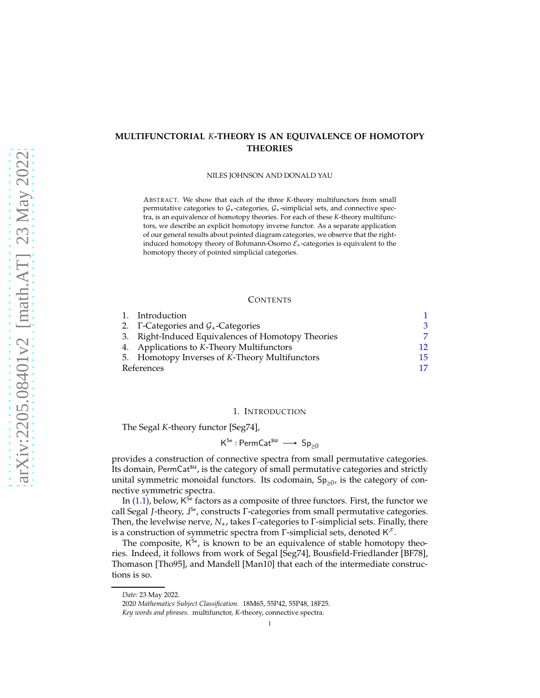# <span id="page-0-1"></span>**MULTIFUNCTORIAL** *K***-THEORY IS AN EQUIVALENCE OF HOMOTOPY THEORIES**

NILES JOHNSON AND DONALD YAU

ABSTRACT. We show that each of the three *K*-theory multifunctors from small permutative categories to  $G_*$ -categories,  $G_*$ -simplicial sets, and connective spectra, is an equivalence of homotopy theories. For each of these *K*-theory multifunctors, we describe an explicit homotopy inverse functor. As a separate application of our general results about pointed diagram categories, we observe that the rightinduced homotopy theory of Bohmann-Osorno  $\mathcal{E}_{*}$ -categories is equivalent to the homotopy theory of pointed simplicial categories.

### **CONTENTS**

|            | 1. Introduction                                         |     |
|------------|---------------------------------------------------------|-----|
|            | 2. $\Gamma$ -Categories and $\mathcal{G}_*$ -Categories | 3   |
|            | 3. Right-Induced Equivalences of Homotopy Theories      |     |
|            | 4. Applications to K-Theory Multifunctors               | 12  |
|            | 5. Homotopy Inverses of K-Theory Multifunctors          | 15. |
| References |                                                         |     |

### 1. INTRODUCTION

<span id="page-0-0"></span>The Segal *K*-theory functor [\[Seg74\]](#page-16-1),

 $\mathsf{K}^\mathsf{Se} : \mathsf{PermCat}^\mathsf{su} \longrightarrow \mathsf{Sp}_{\geq 0}$ 

provides a construction of connective spectra from small permutative categories. Its domain, PermCat<sup>su</sup>, is the category of small permutative categories and strictly unital symmetric monoidal functors. Its codomain,  $Sp_{\geq 0}$ , is the category of connective symmetric spectra.

In [\(1.1\)](#page-1-0), below, K<sup>se</sup> factors as a composite of three functors. First, the functor we call Segal *J*-theory, J<sup>se</sup>, constructs Γ-categories from small permutative categories. Then, the levelwise nerve, *N*∗, takes Γ-categories to Γ-simplicial sets. Finally, there is a construction of symmetric spectra from  $\Gamma$ -simplicial sets, denoted K $\mathcal{F}$ .

The composite, K<sup>se</sup>, is known to be an equivalence of stable homotopy theories. Indeed, it follows from work of Segal [\[Seg74\]](#page-16-1), Bousfield-Friedlander [\[BF78\]](#page-16-2), Thomason [\[Tho95\]](#page-16-3), and Mandell [\[Man10\]](#page-16-4) that each of the intermediate constructions is so.

*Date*: 23 May 2022.

<sup>2020</sup> *Mathematics Subject Classification.* 18M65, 55P42, 55P48, 18F25.

*Key words and phrases.* multifunctor, *K*-theory, connective spectra.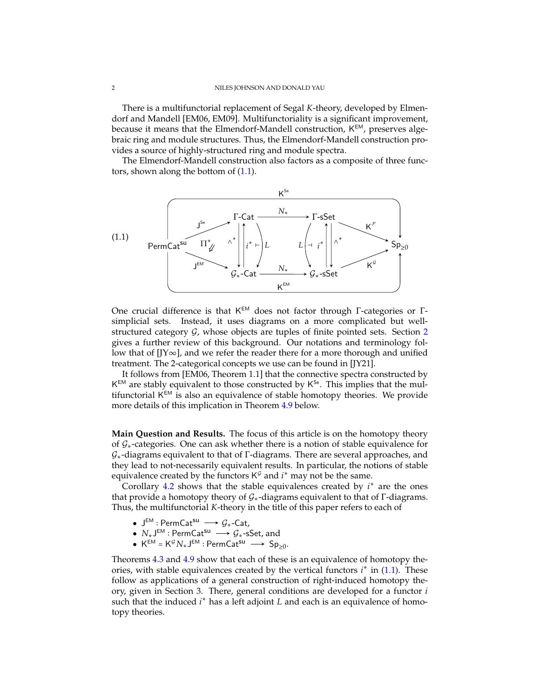<span id="page-1-1"></span>There is a multifunctorial replacement of Segal *K*-theory, developed by Elmendorf and Mandell [\[EM06,](#page-16-5) [EM09\]](#page-16-6). Multifunctoriality is a significant improvement, because it means that the Elmendorf-Mandell construction, K<sup>EM</sup>, preserves algebraic ring and module structures. Thus, the Elmendorf-Mandell construction provides a source of highly-structured ring and module spectra.

The Elmendorf-Mandell construction also factors as a composite of three functors, shown along the bottom of [\(1.1\)](#page-1-0).

<span id="page-1-0"></span>

One crucial difference is that K<sup>EM</sup> does not factor through Γ-categories or Γsimplicial sets. Instead, it uses diagrams on a more complicated but wellstructured category  $G$ , whose objects are tuples of finite pointed sets. Section [2](#page-2-0) gives a further review of this background. Our notations and terminology follow that of  $[J\infty]$ , and we refer the reader there for a more thorough and unified treatment. The 2-categorical concepts we use can be found in [\[JY21\]](#page-16-8).

It follows from [\[EM06,](#page-16-5) Theorem 1.1] that the connective spectra constructed by  $K^{EM}$  are stably equivalent to those constructed by  $K^{Se}$ . This implies that the multifunctorial K<sup>EM</sup> is also an equivalence of stable homotopy theories. We provide more details of this implication in Theorem [4.9](#page-13-0) below.

**Main Question and Results.** The focus of this article is on the homotopy theory of  $\mathcal{G}_*$ -categories. One can ask whether there is a notion of stable equivalence for G∗-diagrams equivalent to that of Γ-diagrams. There are several approaches, and they lead to not-necessarily equivalent results. In particular, the notions of stable equivalence created by the functors  $K^{\mathcal{G}}$  and  $i^*$  may not be the same.

Corollary [4.2](#page-12-0) shows that the stable equivalences created by  $i^*$  are the ones that provide a homotopy theory of  $G<sub>*</sub>$ -diagrams equivalent to that of Γ-diagrams. Thus, the multifunctorial *K*-theory in the title of this paper refers to each of

- J $^{EM}$  : PermCat<sup>su</sup>  $\longrightarrow$   $\mathcal{G}_{*}$ -Cat,
- $N_*\mathsf{J}^{\mathsf{EM}}:\mathsf{PermCat}^{\mathsf{SU}}\longrightarrow \mathcal{G}_*$ -sSet, and
- $K^{EM} = K^{\mathcal{G}} N_* J^{EM}$ : PermCat<sup>su</sup>  $\longrightarrow$  Sp<sub>≥0</sub>.

Theorems [4.3](#page-12-1) and [4.9](#page-13-0) show that each of these is an equivalence of homotopy theories, with stable equivalences created by the vertical functors  $i^*$  in [\(1.1\)](#page-1-0). These follow as applications of a general construction of right-induced homotopy theory, given in Section [3.](#page-6-0) There, general conditions are developed for a functor *i* such that the induced *i* <sup>∗</sup> has a left adjoint *L* and each is an equivalence of homotopy theories.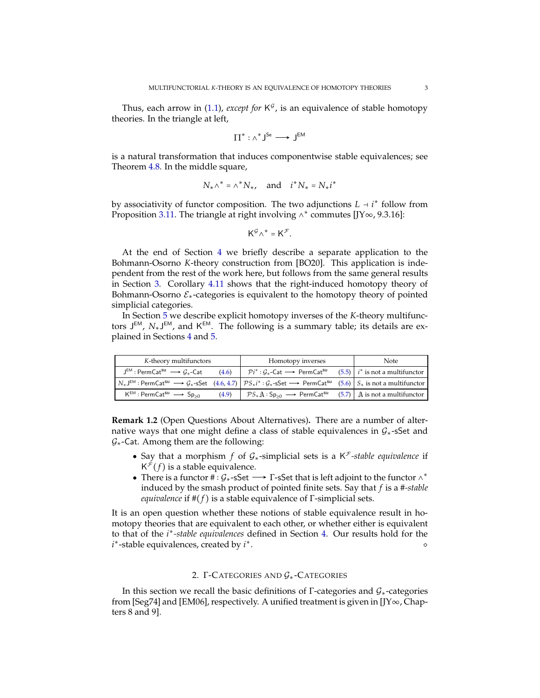<span id="page-2-1"></span>Thus, each arrow in [\(1.1\)](#page-1-0), *except for*  $K^{\mathcal{G}}$ , is an equivalence of stable homotopy theories. In the triangle at left,

$$
\Pi^*:\wedge^*J^{Se}\longrightarrow J^{EM}
$$

is a natural transformation that induces componentwise stable equivalences; see Theorem [4.8.](#page-13-1) In the middle square,

$$
N_* \wedge^* = \wedge^* N_*, \quad \text{and} \quad i^* N_* = N_* i^*
$$

by associativity of functor composition. The two adjunctions  $L \dashv i^*$  follow from Proposition [3.11.](#page-9-0) The triangle at right involving ∧\* commutes [\[JY](#page-16-7)∞, 9.3.16]:

$$
\mathsf{K}^{\mathcal{G}} \wedge^* = \mathsf{K}^{\mathcal{F}}.
$$

At the end of Section [4](#page-11-0) we briefly describe a separate application to the Bohmann-Osorno *K*-theory construction from [\[BO20\]](#page-16-9). This application is independent from the rest of the work here, but follows from the same general results in Section [3.](#page-6-0) Corollary [4.11](#page-14-1) shows that the right-induced homotopy theory of Bohmann-Osorno  $\mathcal{E}_{*}$ -categories is equivalent to the homotopy theory of pointed simplicial categories.

In Section [5](#page-14-0) we describe explicit homotopy inverses of the *K*-theory multifunctors J<sup>EM</sup>, N<sub>\*</sub>J<sup>EM</sup>, and K<sup>EM</sup>. The following is a summary table; its details are explained in Sections [4](#page-11-0) and [5.](#page-14-0)

| K-theory multifunctors                                                                                                                                                                          |       | Homotopy inverses                                                                     | Note                             |
|-------------------------------------------------------------------------------------------------------------------------------------------------------------------------------------------------|-------|---------------------------------------------------------------------------------------|----------------------------------|
| $J^{EM}$ : PermCat <sup>su</sup> $\longrightarrow$ $G_*$ -Cat                                                                                                                                   | (4.6) | $\mathcal{P}i^*:\mathcal{G}_{*}$ -Cat $\longrightarrow$ PermCat <sup>su</sup>         | $(5.5)$ i* is not a multifunctor |
| $N_*J^{EM}$ : PermCat <sup>su</sup> $\longrightarrow$ $G_*$ -sSet (4.6, 4.7) $\mathcal{PS}_*i^*: G_*$ -sSet $\longrightarrow$ PermCat <sup>su</sup> (5.6) $\mathcal{S}_*$ is not a multifunctor |       |                                                                                       |                                  |
| $\mathsf{K}^{\mathsf{EM}}$ : PermCat <sup>su</sup> $\longrightarrow$ Sp <sub>&gt;0</sub>                                                                                                        | (4.9) | $PS_{*}A:Sp_{>0} \longrightarrow$ PermCat <sup>su</sup> (5.7) A is not a multifunctor |                                  |

**Remark 1.2** (Open Questions About Alternatives)**.** There are a number of alternative ways that one might define a class of stable equivalences in  $G<sub>*</sub>$ -sSet and  $G<sub>*</sub>$ -Cat. Among them are the following:

- Say that a morphism *f* of G∗-simplicial sets is a K <sup>F</sup> *-stable equivalence* if  $K^{\mathcal{F}}(f)$  is a stable equivalence.
- There is a functor  $\#\colon \mathcal{G}_*$ -sSet  $\longrightarrow \Gamma$ -sSet that is left adjoint to the functor  $\wedge^*$ induced by the smash product of pointed finite sets. Say that *f* is a #*-stable equivalence* if  $#(f)$  is a stable equivalence of  $\Gamma$ -simplicial sets.

It is an open question whether these notions of stable equivalence result in homotopy theories that are equivalent to each other, or whether either is equivalent to that of the *i* ∗ *-stable equivalences* defined in Section [4.](#page-11-0) Our results hold for the *i* ∗ -stable equivalences, created by *i* ∗ . ◇

# 2. Γ-CATEGORIES AND  $G_*$ -CATEGORIES

<span id="page-2-0"></span>In this section we recall the basic definitions of  $\Gamma$ -categories and  $\mathcal{G}_*$ -categories from [\[Seg74\]](#page-16-1) and [\[EM06\]](#page-16-5), respectively. A unified treatment is given in [\[JY](#page-16-7)∞, Chapters 8 and 9].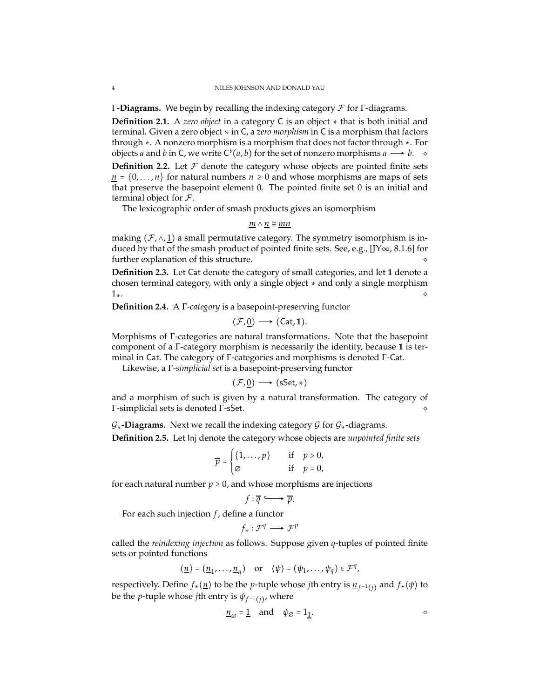<span id="page-3-2"></span><span id="page-3-1"></span>Γ**-Diagrams.** We begin by recalling the indexing category F for Γ-diagrams.

**Definition 2.1.** A *zero object* in a category C is an object ∗ that is both initial and terminal. Given a zero object ∗ in C, a *zero morphism* in C is a morphism that factors through ∗. A nonzero morphism is a morphism that does not factor through ∗. For objects *a* and *b* in C, we write  $C^{\flat}(a, b)$  for the set of nonzero morphisms  $a \longrightarrow b$ .  $\diamond$ **Definition 2.2.** Let  $\mathcal F$  denote the category whose objects are pointed finite sets

 $\underline{n} = \{0, \ldots, n\}$  for natural numbers  $n \geq 0$  and whose morphisms are maps of sets that preserve the basepoint element 0. The pointed finite set  $\overline{0}$  is an initial and terminal object for  $\mathcal{F}$ .

The lexicographic order of smash products gives an isomorphism

$$
\underline{m} \wedge \underline{n} \cong \underline{mn}
$$

making ( $\mathcal{F}, \wedge, \underline{1}$ ) a small permutative category. The symmetry isomorphism is induced by that of the smash product of pointed finite sets. See, e.g.,  $[JY\infty, 8.1.6]$  $[JY\infty, 8.1.6]$  for further explanation of this structure.

**Definition 2.3.** Let Cat denote the category of small categories, and let **1** denote a chosen terminal category, with only a single object ∗ and only a single morphism  $1<sub>∗</sub>$ .  $\qquad \qquad \diamond$ 

<span id="page-3-0"></span>**Definition 2.4.** A Γ*-category* is a basepoint-preserving functor

$$
(\mathcal{F},\underline{0})\longrightarrow (\mathsf{Cat},\mathbf{1}).
$$

Morphisms of Γ-categories are natural transformations. Note that the basepoint component of a Γ-category morphism is necessarily the identity, because **1** is terminal in Cat. The category of Γ-categories and morphisms is denoted Γ-Cat.

Likewise, a Γ*-simplicial set* is a basepoint-preserving functor

$$
(\mathcal{F},\underline{0})\longrightarrow(\mathsf{sSet},\ast)
$$

and a morphism of such is given by a natural transformation. The category of Γ-simplicial sets is denoted Γ-sSet. ◇

 $G_*$ **-Diagrams.** Next we recall the indexing category G for  $G_*$ -diagrams.

**Definition 2.5.** Let Inj denote the category whose objects are *unpointed finite sets*

$$
\overline{p} = \begin{cases} \{1,\ldots,p\} & \quad \text{if} \quad p > 0, \\ \varnothing & \quad \text{if} \quad p = 0, \end{cases}
$$

for each natural number  $p \geq 0$ , and whose morphisms are injections

$$
f:\overline{q}\longrightarrow \overline{p}.
$$

For each such injection *f* , define a functor

$$
f_*:\mathcal{F}^q\longrightarrow \mathcal{F}^p
$$

called the *reindexing injection* as follows. Suppose given *q*-tuples of pointed finite sets or pointed functions

$$
\langle \underline{n} \rangle = (\underline{n}_1, \dots, \underline{n}_q)
$$
 or  $\langle \psi \rangle = (\psi_1, \dots, \psi_q) \in \mathcal{F}^q$ ,

respectively. Define *f*∗⟨*n*⟩ to be the *p*-tuple whose *j*th entry is *n<sup>f</sup>* <sup>−</sup>1(*j*) and *f*∗⟨*ψ*⟩ to be the *p*-tuple whose *j*th entry is  $\psi_{f^{-1}(j)}$ , where

$$
\underline{n}_{\emptyset} = \underline{1} \quad \text{and} \quad \psi_{\emptyset} = 1_{\underline{1}}.
$$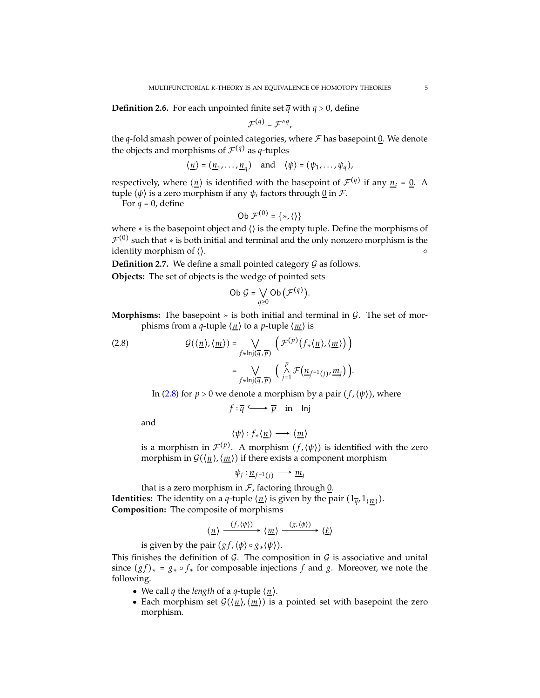**Definition 2.6.** For each unpointed finite set  $\overline{q}$  with  $q > 0$ , define

$$
\mathcal{F}^{(q)} = \mathcal{F}^{\wedge q},
$$

the  $q$ -fold smash power of pointed categories, where  $\mathcal F$  has basepoint 0. We denote the objects and morphisms of  $\mathcal{F}^{(q)}$  as *q*-tuples

$$
\langle \underline{n} \rangle = (\underline{n}_1, \dots, \underline{n}_q)
$$
 and  $\langle \psi \rangle = (\psi_1, \dots, \psi_q)$ ,

respectively, where  $\langle n \rangle$  is identified with the basepoint of  $\mathcal{F}^{(q)}$  if any  $n_i = 0$ . A tuple ⟨*ψ*⟩ is a zero morphism if any *ψ<sup>i</sup>* factors through 0 in F.

For  $q = 0$ , define

Ob 
$$
\mathcal{F}^{(0)} = \{*, \langle \rangle\}
$$

where ∗ is the basepoint object and ⟨⟩ is the empty tuple. Define the morphisms of  $\mathcal{F}^{(0)}$  such that  $*$  is both initial and terminal and the only nonzero morphism is the identity morphism of  $\langle \rangle$ .

<span id="page-4-1"></span>**Definition 2.7.** We define a small pointed category  $G$  as follows.

**Objects:** The set of objects is the wedge of pointed sets

Ob 
$$
\mathcal{G} = \bigvee_{q \geq 0} \mathsf{Ob}\left(\mathcal{F}^{(q)}\right).
$$

**Morphisms:** The basepoint  $*$  is both initial and terminal in  $\mathcal{G}$ . The set of morphisms from a *q*-tuple  $\langle n \rangle$  to a *p*-tuple  $\langle m \rangle$  is

<span id="page-4-0"></span>(2.8) 
$$
\mathcal{G}(\langle \underline{n} \rangle, \langle \underline{m} \rangle) = \bigvee_{f \in \text{Inj}(\overline{q}, \overline{p})} \left( \mathcal{F}^{(p)}(f_*(\underline{n}), \langle \underline{m} \rangle) \right) = \bigvee_{f \in \text{Inj}(\overline{q}, \overline{p})} \left( \bigwedge_{j=1}^p \mathcal{F}(\underline{n}_{f^{-1}(j)}, \underline{m}_j) \right).
$$

In (2.8) for 
$$
p > 0
$$
 we denote a morphism by a pair  $(f, \langle \psi \rangle)$ , where

$$
f: \overline{q} \longrightarrow \overline{p}
$$
 in Inj

and

$$
\langle \psi \rangle : f_* \langle \underline{n} \rangle \longrightarrow \langle \underline{m} \rangle
$$

is a morphism in  $\mathcal{F}^{(p)}.$  A morphism  $(f,\langle\psi\rangle)$  is identified with the zero morphism in  $\mathcal{G}(\langle n \rangle, \langle m \rangle)$  if there exists a component morphism

$$
\psi_j: \underline{n}_{f^{-1}(j)} \longrightarrow \underline{m}_j
$$

that is a zero morphism in  $F$ , factoring through  $0$ . **Identities:** The identity on a *q*-tuple  $\langle \underline{n} \rangle$  is given by the pair  $(1_{\overline{q}}, 1_{\langle \underline{n} \rangle}).$ **Composition:** The composite of morphisms

$$
\langle \underline{n} \rangle \xrightarrow{(f, \langle \psi \rangle)} \langle \underline{m} \rangle \xrightarrow{(g, \langle \phi \rangle)} \langle \underline{\ell} \rangle
$$

is given by the pair  $(gf, \langle \phi \rangle \circ g_*(\psi)).$ 

This finishes the definition of  $G$ . The composition in  $G$  is associative and unital since  $(gf)_* = g_* \circ f_*$  for composable injections *f* and *g*. Moreover, we note the following.

- We call *q* the *length* of a *q*-tuple  $\langle n \rangle$ .
- Each morphism set  $G(\langle n \rangle, \langle m \rangle)$  is a pointed set with basepoint the zero morphism.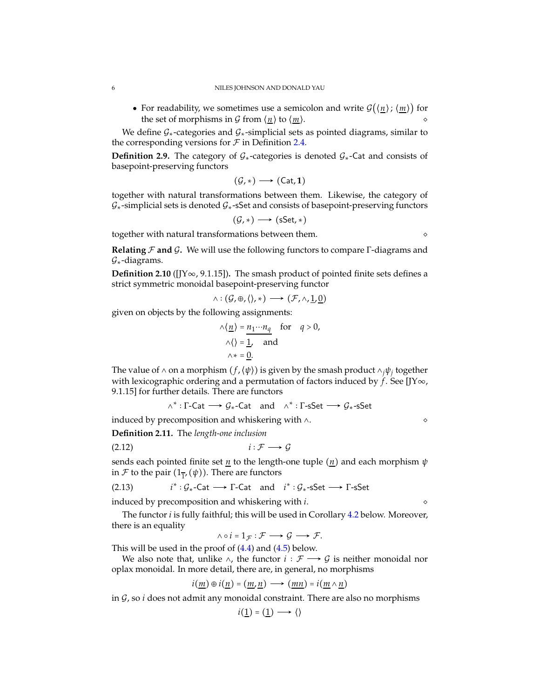• For readability, we sometimes use a semicolon and write  $G(\langle n \rangle; \langle m \rangle)$  for the set of morphisms in  $G$  from  $\langle n \rangle$  to  $\langle m \rangle$ .

We define  $G_*$ -categories and  $G_*$ -simplicial sets as pointed diagrams, similar to the corresponding versions for  $\mathcal F$  in Definition [2.4.](#page-3-0)

**Definition 2.9.** The category of  $G_*$ -categories is denoted  $G_*$ -Cat and consists of basepoint-preserving functors

$$
(\mathcal{G},*) \longrightarrow (\mathsf{Cat},1)
$$

together with natural transformations between them. Likewise, the category of  $G<sub>*</sub>$ -simplicial sets is denoted  $G<sub>*</sub>$ -sSet and consists of basepoint-preserving functors

$$
(\mathcal{G},*) \longrightarrow (\mathsf{sSet},*)
$$

together with natural transformations between them.  $\Diamond$ 

**Relating** F **and** G**.** We will use the following functors to compare Γ-diagrams and  $G<sub>*</sub>$ -diagrams.

**Definition 2.10** ([\[JY](#page-16-7)∞, 9.1.15])**.** The smash product of pointed finite sets defines a strict symmetric monoidal basepoint-preserving functor

$$
\wedge : (\mathcal{G}, \oplus, \langle \rangle, *) \longrightarrow (\mathcal{F}, \wedge, \underline{1}, \underline{0})
$$

given on objects by the following assignments:

$$
\wedge \langle \underline{n} \rangle = \underline{n_1 \cdots n_q} \quad \text{for} \quad q > 0,
$$
  

$$
\wedge \langle \rangle = \underline{1}, \quad \text{and}
$$
  

$$
\wedge * = \underline{0}.
$$

The value of ^ on a morphism  $(f, \langle \psi \rangle)$  is given by the smash product  $\wedge_j \psi_j$  together with lexicographic ordering and a permutation of factors induced by *f* . See [\[JY](#page-16-7)∞, 9.1.15] for further details. There are functors

<span id="page-5-1"></span>
$$
\wedge^* : \Gamma\text{-}\mathsf{Cat} \longrightarrow \mathcal{G}_* \text{-}\mathsf{Cat} \quad \text{and} \quad \wedge^* : \Gamma\text{-}\mathsf{sSet} \longrightarrow \mathcal{G}_* \text{-}\mathsf{sSet}
$$

<span id="page-5-2"></span>induced by precomposition and whiskering with ∧. ◇

**Definition 2.11.** The *length-one inclusion*

 $i: \mathcal{F} \longrightarrow \mathcal{G}$ 

sends each pointed finite set  $n$  to the length-one tuple  $(n)$  and each morphism  $\psi$ in  $\mathcal F$  to the pair  $(1_{\overline{1}'}(\psi))$ . There are functors

<span id="page-5-0"></span>(2.13) 
$$
i^* : \mathcal{G}_*-\text{Cat} \longrightarrow \Gamma-\text{Cat} \text{ and } i^* : \mathcal{G}_*-\text{SSet} \longrightarrow \Gamma-\text{SSet}
$$

induced by precomposition and whiskering with *i*. ◇

The functor *i* is fully faithful; this will be used in Corollary [4.2](#page-12-0) below. Moreover, there is an equality

 $\wedge \circ i = 1_{\mathcal{F}} : \mathcal{F} \longrightarrow \mathcal{G} \longrightarrow \mathcal{F}.$ 

This will be used in the proof of [\(4.4\)](#page-12-4) and [\(4.5\)](#page-12-5) below.

We also note that, unlike  $\land$ , the functor  $i : \mathcal{F} \longrightarrow \mathcal{G}$  is neither monoidal nor oplax monoidal. In more detail, there are, in general, no morphisms

$$
i(\underline{m}) \oplus i(\underline{n}) = (\underline{m}, \underline{n}) \longrightarrow (\underline{m}\underline{n}) = i(\underline{m} \wedge \underline{n})
$$

in G, so *i* does not admit any monoidal constraint. There are also no morphisms

$$
i(\underline{1}) = (\underline{1}) \longrightarrow \langle \rangle
$$

<span id="page-5-3"></span>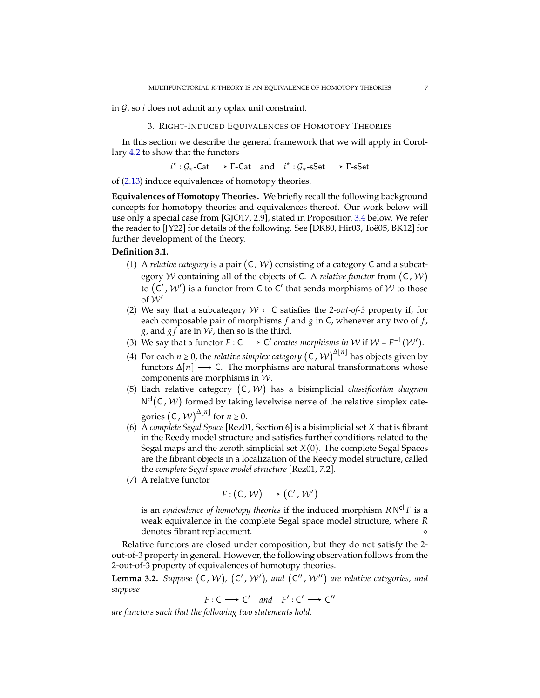<span id="page-6-2"></span><span id="page-6-0"></span>in G, so *i* does not admit any oplax unit constraint.

## 3. RIGHT-INDUCED EQUIVALENCES OF HOMOTOPY THEORIES

In this section we describe the general framework that we will apply in Corollary [4.2](#page-12-0) to show that the functors

$$
i^* : \mathcal{G}_*-\text{Cat} \longrightarrow \Gamma-\text{Cat} \text{ and } i^* : \mathcal{G}_*-\text{sSet} \longrightarrow \Gamma-\text{sSet}
$$

of [\(2.13\)](#page-5-0) induce equivalences of homotopy theories.

**Equivalences of Homotopy Theories.** We briefly recall the following background concepts for homotopy theories and equivalences thereof. Our work below will use only a special case from [\[GJO17,](#page-16-11) 2.9], stated in Proposition [3.4](#page-7-0) below. We refer the reader to [\[JY22\]](#page-16-12) for details of the following. See [\[DK80,](#page-16-13) [Hir03,](#page-16-14) Toë05, [BK12\]](#page-16-16) for further development of the theory.

# **Definition 3.1.**

- (1) A *relative category* is a pair (C, W) consisting of a category C and a subcategory W containing all of the objects of C. A *relative functor* from (C, W) to  $(C',\mathcal{W}')$  is a functor from C to C $'$  that sends morphisms of  $\mathcal W$  to those of  $W'$ .
- (2) We say that a subcategory  $W \subset C$  satisfies the 2-out-of-3 property if, for each composable pair of morphisms  $f$  and  $g$  in  $C$ , whenever any two of  $f$ , *g*, and  $gf$  are in  $W$ , then so is the third.
- (3) We say that a functor  $F: C \longrightarrow C'$  creates morphisms in W if  $W = F^{-1}(W')$ .
- (4) For each *n* ≥ 0, the *relative simplex category*  $(C, W)^{\Delta[n]}$  has objects given by functors  $\Delta[n]$  → C. The morphisms are natural transformations whose components are morphisms in W.
- (5) Each relative category (C, W) has a bisimplicial *classification diagram*  $N^{cl}(C, W)$  formed by taking levelwise nerve of the relative simplex categories  $(C, W)^{\Delta[n]}$  for  $n \ge 0$ .
- (6) A *complete Segal Space*[\[Rez01,](#page-16-17) Section 6] is a bisimplicial set *X* that is fibrant in the Reedy model structure and satisfies further conditions related to the Segal maps and the zeroth simplicial set *X*(0). The complete Segal Spaces are the fibrant objects in a localization of the Reedy model structure, called the *complete Segal space model structure* [\[Rez01,](#page-16-17) 7.2].
- (7) A relative functor

$$
F:(C,\mathcal{W})\longrightarrow (C',\mathcal{W}')
$$

is an *equivalence of homotopy theories* if the induced morphism *R* N cl *F* is a weak equivalence in the complete Segal space model structure, where *R* denotes fibrant replacement.

Relative functors are closed under composition, but they do not satisfy the 2 out-of-3 property in general. However, the following observation follows from the 2-out-of-3 property of equivalences of homotopy theories.

<span id="page-6-1"></span>**Lemma 3.2.** Suppose  $(C, W)$ ,  $(C', W')$ , and  $(C'', W'')$  are relative categories, and *suppose*

$$
F: C \longrightarrow C' \quad and \quad F': C' \longrightarrow C''
$$

*are functors such that the following two statements hold.*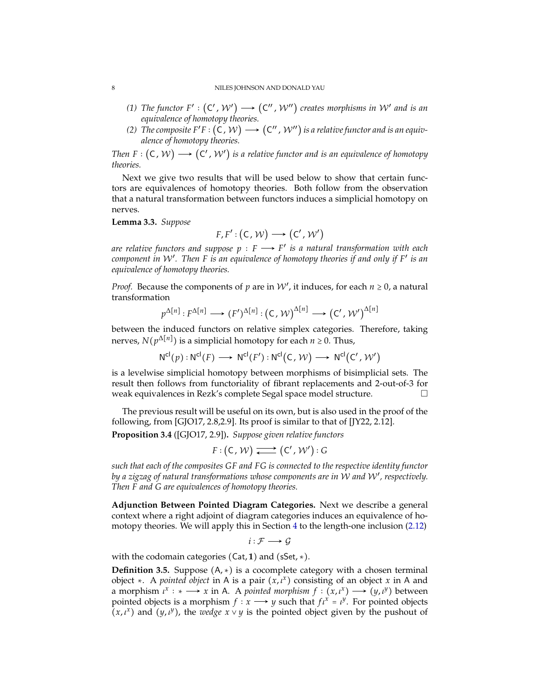#### <span id="page-7-2"></span>8 NILES JOHNSON AND DONALD YAU

- (1) The functor  $F': (C', W') \longrightarrow (C'', W'')$  creates morphisms in W' and is an *equivalence of homotopy theories.*
- *(2) The composite F′F* :  $({\sf C}, \mathcal{W}) \longrightarrow ({\sf C}'', \mathcal{W}'')$  *is a relative functor and is an equivalence of homotopy theories.*

*Then F* :  $(C, W) \longrightarrow (C', W')$  is a relative functor and is an equivalence of homotopy *theories.*

Next we give two results that will be used below to show that certain functors are equivalences of homotopy theories. Both follow from the observation that a natural transformation between functors induces a simplicial homotopy on nerves.

<span id="page-7-1"></span>**Lemma 3.3.** *Suppose*

$$
F, F': (\mathsf{C}, \mathcal{W}) \longrightarrow (\mathsf{C}', \mathcal{W}')
$$

*are relative functors and suppose*  $p$  :  $F \longrightarrow F'$  *is a natural transformation with each component in* W′ *. Then F is an equivalence of homotopy theories if and only if F*′ *is an equivalence of homotopy theories.*

*Proof.* Because the components of  $p$  are in  $W'$ , it induces, for each  $n \geq 0$ , a natural transformation

$$
p^{\Delta[n]}:F^{\Delta[n]} \longrightarrow (F')^{\Delta[n]}:(\mathsf{C},\mathcal{W})^{\Delta[n]} \longrightarrow (\mathsf{C}',\mathcal{W}')^{\Delta[n]}
$$

between the induced functors on relative simplex categories. Therefore, taking nerves,  $N(p^{\Delta[n]})$  is a simplicial homotopy for each  $n \ge 0$ . Thus,

$$
N^{cl}(p) : N^{cl}(F) \longrightarrow N^{cl}(F') : N^{cl}(C, W) \longrightarrow N^{cl}(C', W')
$$

is a levelwise simplicial homotopy between morphisms of bisimplicial sets. The result then follows from functoriality of fibrant replacements and 2-out-of-3 for weak equivalences in Rezk's complete Segal space model structure.

<span id="page-7-0"></span>The previous result will be useful on its own, but is also used in the proof of the following, from [\[GJO17,](#page-16-11) 2.8,2.9]. Its proof is similar to that of [\[JY22,](#page-16-12) 2.12].

**Proposition 3.4** ([\[GJO17,](#page-16-11) 2.9])**.** *Suppose given relative functors*

$$
F: (C, W) \xrightarrow{\longrightarrow} (C', W') : G
$$

*such that each of the composites GF and FG is connected to the respective identity functor by a zigzag of natural transformations whose components are in* W *and* W′ *, respectively. Then F and G are equivalences of homotopy theories.*

**Adjunction Between Pointed Diagram Categories.** Next we describe a general context where a right adjoint of diagram categories induces an equivalence of homotopy theories. We will apply this in Section [4](#page-11-0) to the length-one inclusion [\(2.12\)](#page-5-1)

 $i: \mathcal{F} \longrightarrow \mathcal{G}$ 

with the codomain categories (Cat, **1**) and (sSet, ∗).

**Definition 3.5.** Suppose (A, ∗) is a cocomplete category with a chosen terminal object ∗. A *pointed object* in A is a pair (*x*, *ι x* ) consisting of an object *x* in A and a morphism  $\iota^x : * \longrightarrow x$  in A. A *pointed morphism*  $f : (x, \iota^x) \longrightarrow (y, \iota^y)$  between pointed objects is a morphism  $f: x \longrightarrow y$  such that  $f_i^x = i^y$ . For pointed objects  $(x, \iota^x)$  and  $(y, \iota^y)$ , the *wedge*  $x \vee y$  is the pointed object given by the pushout of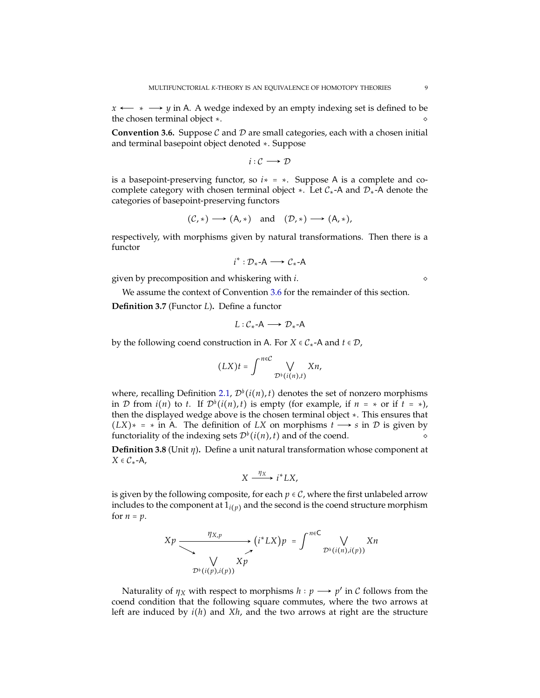$x \leftarrow x$  *y* in A. A wedge indexed by an empty indexing set is defined to be the chosen terminal object  $*$ .

<span id="page-8-0"></span>**Convention 3.6.** Suppose  $C$  and  $D$  are small categories, each with a chosen initial and terminal basepoint object denoted ∗. Suppose

$$
i:\mathcal{C}\longrightarrow\mathcal{D}
$$

is a basepoint-preserving functor, so *i*∗ = ∗. Suppose A is a complete and cocomplete category with chosen terminal object  $\star$ . Let  $C_{\star}$ -A and  $\mathcal{D}_{\star}$ -A denote the categories of basepoint-preserving functors

$$
(\mathcal{C},*) \longrightarrow (A,*)
$$
 and  $(\mathcal{D},*) \longrightarrow (A,*)$ ,

respectively, with morphisms given by natural transformations. Then there is a functor

$$
i^*:\mathcal{D}_*{\text{-}A}\longrightarrow \mathcal{C}_*{\text{-}A}
$$

given by precomposition and whiskering with *i*. ◇

<span id="page-8-2"></span>We assume the context of Convention [3.6](#page-8-0) for the remainder of this section.

**Definition 3.7** (Functor *L*)**.** Define a functor

$$
L:\mathcal{C}_*{\text{-}}\mathsf{A}\longrightarrow \mathcal{D}_*{\text{-}}\mathsf{A}
$$

by the following coend construction in A. For *X*  $\in C^*$ -A and *t*  $\in \mathcal{D}$ ,

$$
(LX)t = \int^{n\in\mathcal{C}} \bigvee_{\mathcal{D}^{\flat}(i(n),t)} Xn,
$$

where, recalling Definition [2.1,](#page-3-1)  $\mathcal{D}^{\flat}(i(n), t)$  denotes the set of nonzero morphisms in D from  $i(n)$  to *t*. If  $\mathcal{D}^{\flat}(i(n), t)$  is empty (for example, if  $n = \ast$  or if  $t = \ast$ ), then the displayed wedge above is the chosen terminal object ∗. This ensures that  $(LX)* = * in A$ . The definition of *LX* on morphisms  $t \rightarrow s$  in *D* is given by functoriality of the indexing sets  $\mathcal{D}^{\flat}(i(n), t)$  and of the coend.

<span id="page-8-1"></span>**Definition 3.8** (Unit *η*)**.** Define a unit natural transformation whose component at  $X \in C_*$ -A,

$$
X \xrightarrow{\eta_X} i^* L X,
$$

is given by the following composite, for each  $p \in C$ , where the first unlabeled arrow includes to the component at  $1_{i(p)}$  and the second is the coend structure morphism for  $n = p$ .

$$
Xp \xrightarrow{\eta_{X,p}} (i^* L X)p = \int^{n \in \mathbb{C}} \bigvee_{\mathcal{D}^{\flat}(i(n), i(p))} Xn
$$
  
 
$$
\bigvee_{\mathcal{D}^{\flat}(i(p), i(p))} Xp
$$

Naturality of  $\eta_X$  with respect to morphisms  $h : p \longrightarrow p'$  in  $C$  follows from the coend condition that the following square commutes, where the two arrows at left are induced by *i*(*h*) and *Xh*, and the two arrows at right are the structure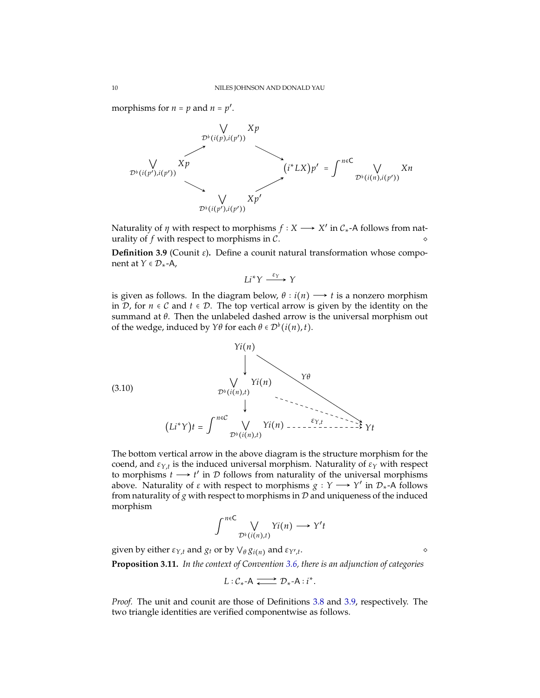morphisms for  $n = p$  and  $n = p'$ .



Naturality of  $\eta$  with respect to morphisms  $f: X \longrightarrow X'$  in  $C_*$ -A follows from naturality of  $f$  with respect to morphisms in  $\mathcal{C}$ .

<span id="page-9-1"></span>**Definition 3.9** (Counit *ε*)**.** Define a counit natural transformation whose component at *Y* ∈  $\mathcal{D}_*$ -A,

$$
Li^*Y \xrightarrow{\varepsilon_Y} Y
$$

is given as follows. In the diagram below,  $\theta$  *i*(*n*)  $\rightarrow$  *t* is a nonzero morphism in D, for *n* ∈ C and *t* ∈ D. The top vertical arrow is given by the identity on the summand at *θ*. Then the unlabeled dashed arrow is the universal morphism out of the wedge, induced by  $Y\theta$  for each  $\theta \in \mathcal{D}^{\flat}(i(n), t)$ .

<span id="page-9-2"></span>

The bottom vertical arrow in the above diagram is the structure morphism for the coend, and *εY*,*<sup>t</sup>* is the induced universal morphism. Naturality of *ε<sup>Y</sup>* with respect to morphisms  $t \rightarrow t'$  in  $D$  follows from naturality of the universal morphisms above. Naturality of  $\varepsilon$  with respect to morphisms  $g: Y \longrightarrow Y'$  in  $\mathcal{D}_{*}$ -A follows from naturality of  $g$  with respect to morphisms in  $D$  and uniqueness of the induced morphism

$$
\int^{n\in\mathbb{C}} \bigvee_{\mathcal{D}^{\flat}(i(n),t)} \Upsilon(i(n)) \longrightarrow \Upsilon't
$$

<span id="page-9-0"></span>given by either *εY*,*<sup>t</sup>* and *g<sup>t</sup>* or by ⋁*<sup>θ</sup> gi*(*n*) and *εY*′ ,*t* . ◇

**Proposition 3.11.** *In the context of Convention [3.6,](#page-8-0) there is an adjunction of categories*

$$
L:\mathcal{C}_*{\text{-}A} \xrightarrow{\longrightarrow} \mathcal{D}_*{\text{-}A}:i^*.
$$

*Proof.* The unit and counit are those of Definitions [3.8](#page-8-1) and [3.9,](#page-9-1) respectively. The two triangle identities are verified componentwise as follows.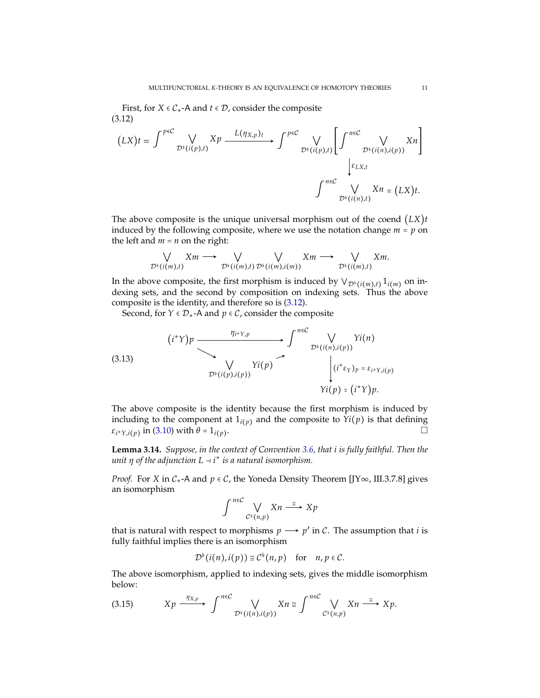<span id="page-10-4"></span>First, for  $X \in C^*$ -A and  $t \in \mathcal{D}$ , consider the composite (3.12)

$$
(LX)t = \int^{\rho \in C} \bigvee_{\mathcal{D}^{\flat}(i(p),t)} Xp \xrightarrow{L(\eta_{X,p})_t} \int^{\rho \in C} \bigvee_{\mathcal{D}^{\flat}(i(p),t)} \left[ \int^{\eta \in C} \bigvee_{\mathcal{D}^{\flat}(i(n),i(p))} Xn \right]
$$

$$
\downarrow \varepsilon_{LX,t}
$$

$$
\int^{\eta \in C} \bigvee_{\mathcal{D}^{\flat}(i(n),t)} Xn = (LX)t.
$$

<span id="page-10-0"></span>The above composite is the unique universal morphism out of the coend (*LX*)*t* induced by the following composite, where we use the notation change  $m = p$  on the left and  $m = n$  on the right:

$$
\bigvee_{\mathcal{D}^{\flat}(i(m),t)} Xm \longrightarrow \bigvee_{\mathcal{D}^{\flat}(i(m),t)} \bigvee_{\mathcal{D}^{\flat}(i(m),i(m))} Xm \longrightarrow \bigvee_{\mathcal{D}^{\flat}(i(m),t)} Xm.
$$

In the above composite, the first morphism is induced by  $\forall_{\mathcal{D}^{\flat}(i(m),t)} 1_{i(m)}$  on indexing sets, and the second by composition on indexing sets. Thus the above composite is the identity, and therefore so is [\(3.12\)](#page-10-0).

Second, for  $Y \in \mathcal{D}_*$ -A and  $p \in \mathcal{C}$ , consider the composite

<span id="page-10-3"></span>(3.13)  

$$
(i^*)p \xrightarrow{\eta_{i^*Y,p}} \int^{n\in\mathcal{C}} \bigvee_{\mathcal{D}^{\flat}(i(n),i(p))} Yi(n)
$$
  

$$
\bigvee_{\mathcal{D}^{\flat}(i(p),i(p))} Yi(p) \xrightarrow{\gamma_{i^*Y,p}} \bigvee_{\begin{pmatrix}i^*\varepsilon_Y\rangle_p = \varepsilon_{i^*Y,i(p)}\\i^*\varepsilon_Y\rangle_p = (i^*Y)p.\end{pmatrix}}
$$

The above composite is the identity because the first morphism is induced by including to the component at  $1_{i(p)}$  and the composite to  $Y_i(p)$  is that defining *εi* <sup>∗</sup>*Y*,*i*(*p*) in [\(3.10\)](#page-9-2) with *θ* = 1*i*(*p*) .

<span id="page-10-2"></span>**Lemma 3.14.** *Suppose, in the context of Convention [3.6,](#page-8-0) that i is fully faithful. Then the unit*  $\eta$  *of the adjunction*  $L \rightarrow i^*$  *is a natural isomorphism.* 

*Proof.* For *X* in C<sub>\*</sub>-A and  $p \in C$ , the Yoneda Density Theorem [\[JY](#page-16-7)∞, III.3.7.8] gives an isomorphism

$$
\int_{0}^{n\in\mathcal{C}} \bigvee_{\mathcal{C}^{\flat}(n,p)} X n \stackrel{\cong}{\longrightarrow} X p
$$

that is natural with respect to morphisms  $p \longrightarrow p'$  in C. The assumption that *i* is fully faithful implies there is an isomorphism

$$
\mathcal{D}^{\flat}(i(n),i(p)) \cong \mathcal{C}^{\flat}(n,p) \quad \text{for} \quad n, p \in \mathcal{C}.
$$

The above isomorphism, applied to indexing sets, gives the middle isomorphism below:

<span id="page-10-1"></span>
$$
(3.15) \t\t Xp \xrightarrow{\eta_{X,p}} \int^{n\in\mathcal{C}} \bigvee_{\mathcal{D}^b(i(n),i(p))} Xn \cong \int^{n\in\mathcal{C}} \bigvee_{\mathcal{C}^b(n,p)} Xn \xrightarrow{\cong} Xp.
$$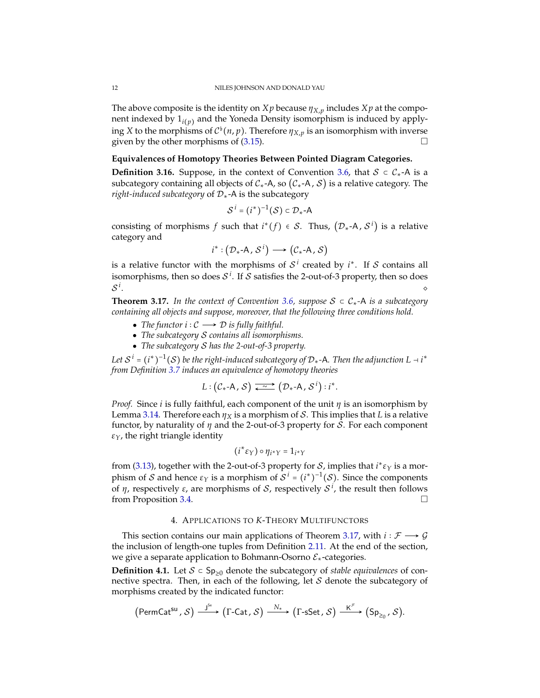The above composite is the identity on *X p* because  $\eta_{X,p}$  includes *X p* at the component indexed by 1*i*(*p*) and the Yoneda Density isomorphism is induced by applying *X* to the morphisms of  $C^{\flat}(n, p)$ . Therefore  $\eta_{X, p}$  is an isomorphism with inverse given by the other morphisms of [\(3.15\)](#page-10-1).

# **Equivalences of Homotopy Theories Between Pointed Diagram Categories.**

**Definition 3.16.** Suppose, in the context of Convention [3.6,](#page-8-0) that  $S \subset C_{\star}$ -A is a subcategory containing all objects of  $C_*$ -A, so  $(C_*$ -A, S) is a relative category. The *right-induced subcategory* of D∗-A is the subcategory

$$
\mathcal{S}^i = (i^*)^{-1}(\mathcal{S}) \subset \mathcal{D}_* \text{-} A
$$

consisting of morphisms *f* such that  $i^*(f) \in S$ . Thus,  $(\mathcal{D}_*$ -A,  $S^i)$  is a relative category and

$$
i^*: (\mathcal{D}_* \text{-} A, \mathcal{S}^i) \longrightarrow (\mathcal{C}_* \text{-} A, \mathcal{S})
$$

is a relative functor with the morphisms of  $S<sup>i</sup>$  created by  $i<sup>*</sup>$ . If S contains all isomorphisms, then so does  $\mathcal{S}^i$ . If  $\mathcal S$  satisfies the 2-out-of-3 property, then so does S *i* . ◇

<span id="page-11-1"></span>**Theorem 3.17.** In the context of Convention [3.6,](#page-8-0) suppose  $S \subset C_*$ -A is a subcategory *containing all objects and suppose, moreover, that the following three conditions hold.*

- *The functor*  $i: \mathcal{C} \longrightarrow \mathcal{D}$  *is fully faithful.*
- *The subcategory* S *contains all isomorphisms.*
- *The subcategory* S *has the 2-out-of-3 property.*

Let  $S^i$  =  $(i^*)^{-1}(S)$  be the right-induced subcategory of  ${\cal D}_*$ -A. Then the adjunction L ⊣  $i^*$ *from Definition [3.7](#page-8-2) induces an equivalence of homotopy theories*

$$
L: (\mathcal{C}_{*}{\text{-A}}, \mathcal{S}) \xrightarrow{\sim} (\mathcal{D}_{*}{\text{-A}}, \mathcal{S}^{i}) : i^{*}.
$$

*Proof.* Since *i* is fully faithful, each component of the unit *η* is an isomorphism by Lemma [3.14.](#page-10-2) Therefore each  $\eta_X$  is a morphism of *S*. This implies that *L* is a relative functor, by naturality of *η* and the 2-out-of-3 property for S. For each component *εY*, the right triangle identity

$$
(i^* \varepsilon_Y) \circ \eta_{i^* Y} = 1_{i^* Y}
$$

from [\(3.13\)](#page-10-3), together with the 2-out-of-3 property for  $S$ , implies that  $i^* \varepsilon_Y$  is a morphism of *S* and hence  $ε_Y$  is a morphism of  $S^i = (i^*)^{-1}(S)$ . Since the components of *η*, respectively *ε*, are morphisms of S, respectively S *i* , the result then follows from Proposition [3.4.](#page-7-0)

### 4. APPLICATIONS TO *K*-THEORY MULTIFUNCTORS

<span id="page-11-0"></span>This section contains our main applications of Theorem [3.17,](#page-11-1) with  $i : \mathcal{F} \longrightarrow \mathcal{G}$ the inclusion of length-one tuples from Definition [2.11.](#page-5-2) At the end of the section, we give a separate application to Bohmann-Osorno  $\mathcal{E}_{*}$ -categories.

**Definition 4.1.** Let  $S$  ⊂ Sp<sub>≥0</sub> denote the subcategory of *stable equivalences* of connective spectra. Then, in each of the following, let  $S$  denote the subcategory of morphisms created by the indicated functor:

$$
(\mathsf{PermCat}^{\mathsf{su}}, \mathcal{S}) \xrightarrow{\mathsf{J}^{\mathsf{se}}} (\Gamma\text{-}\mathsf{Cat}, \mathcal{S}) \xrightarrow{\mathsf{N}_{*}} (\Gamma\text{-}\mathsf{S}^{\mathsf{et}}, \mathcal{S}) \xrightarrow{\mathsf{K}^{\mathcal{F}}} (\mathsf{Sp}_{\geq 0}, \mathcal{S}).
$$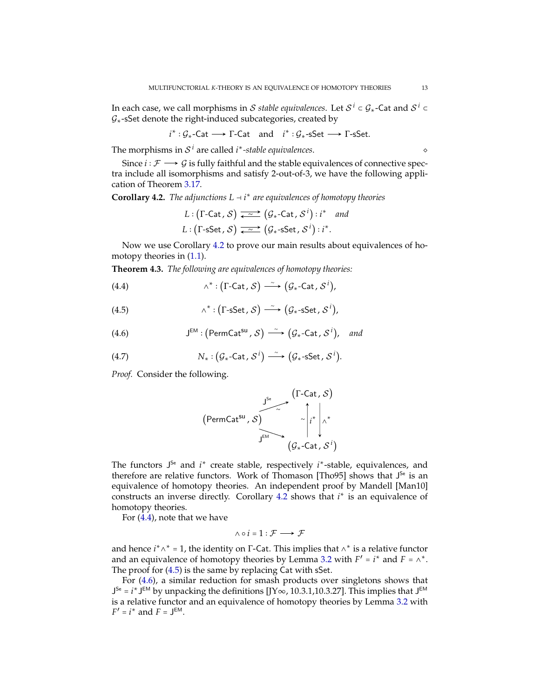<span id="page-12-6"></span>In each case, we call morphisms in  ${\cal S}$  *stable equivalences*. Let  ${\cal S}^i$  ⊂  ${\cal G}_*$ -Cat and  ${\cal S}^i$  ⊂  $G<sub>*</sub>$ -sSet denote the right-induced subcategories, created by

$$
i^* : \mathcal{G}_*-\text{Cat} \longrightarrow \Gamma-\text{Cat} \text{ and } i^* : \mathcal{G}_*-\text{sSet} \longrightarrow \Gamma-\text{sSet}.
$$

The morphisms in  $S^i$  are called *i*<sup>\*</sup>-stable equivalences.  $\diamond$ 

Since *i* ∶  $\mathcal{F}$  →  $\mathcal{G}$  is fully faithful and the stable equivalences of connective spectra include all isomorphisms and satisfy 2-out-of-3, we have the following application of Theorem [3.17.](#page-11-1)

<span id="page-12-0"></span>**Corollary 4.2.** *The adjunctions*  $L \rightarrow i^*$  *are equivalences of homotopy theories* 

<span id="page-12-4"></span>
$$
L: (\Gamma\text{-Cat}, \mathcal{S}) \xrightarrow{\sim} (\mathcal{G}_* \text{-Cat}, \mathcal{S}^i) : i^* \text{ and}
$$

$$
L: (\Gamma\text{-Set}, \mathcal{S}) \xrightarrow{\sim} (\mathcal{G}_* \text{-SSet}, \mathcal{S}^i) : i^*.
$$

<span id="page-12-1"></span>Now we use Corollary [4.2](#page-12-0) to prove our main results about equivalences of homotopy theories in [\(1.1\)](#page-1-0).

**Theorem 4.3.** *The following are equivalences of homotopy theories:*

(4.4) 
$$
\wedge^* : (\Gamma\text{-Cat}, \mathcal{S}) \stackrel{\sim}{\longrightarrow} (\mathcal{G}_* \text{-Cat}, \mathcal{S}^i),
$$

(4.5) 
$$
\wedge^* : (\Gamma \text{-SSet}, \mathcal{S}) \xrightarrow{\sim} (\mathcal{G}_* \text{-SSet}, \mathcal{S}^i),
$$

<span id="page-12-2"></span>(4.6) 
$$
J^{EM}: (\text{PermCat}^{su}, \mathcal{S}) \longrightarrow (\mathcal{G}_{*}\text{-Cat}, \mathcal{S}^{i}), \text{ and}
$$

(4.7) 
$$
N_*: (G_*\text{-Cat}, S^i) \longrightarrow (G_*\text{-sSet}, S^i).
$$

*Proof.* Consider the following.

<span id="page-12-5"></span><span id="page-12-3"></span>
$$
\begin{array}{ccc}\n & \stackrel{\text{J}^{\text{Se}}}{\sim} & \text{(I-Cat, S)} \\
& \stackrel{\text{J}^{\text{Se}}}{\sim} & \sqrt{\begin{array}{c}i^*\\i^*\\j^* \end{array}}\n\end{array}
$$
\n
$$
(g_*-Cat, S^i)
$$

The functors J<sup>Se</sup> and *i*<sup>\*</sup> create stable, respectively *i*<sup>\*</sup>-stable, equivalences, and therefore are relative functors. Work of Thomason [\[Tho95\]](#page-16-3) shows that  $J<sup>5e</sup>$  is an equivalence of homotopy theories. An independent proof by Mandell [\[Man10\]](#page-16-4) constructs an inverse directly. Corollary [4.2](#page-12-0) shows that *i*<sup>★</sup> is an equivalence of homotopy theories.

For [\(4.4\)](#page-12-4), note that we have

$$
\wedge \circ i = 1: \mathcal{F} \longrightarrow \mathcal{F}
$$

and hence  $i^* \wedge^* = 1$ , the identity on  $\Gamma$ -Cat. This implies that  $\wedge^*$  is a relative functor and an equivalence of homotopy theories by Lemma [3.2](#page-6-1) with  $F' = i^*$  and  $F = \wedge^*$ . The proof for [\(4.5\)](#page-12-5) is the same by replacing Cat with sSet.

For [\(4.6\)](#page-12-2), a similar reduction for smash products over singletons shows that  $J^{Se} = i^* J^{EM}$  by unpacking the definitions [\[JY](#page-16-7)∞, 10.3.1,10.3.27]. This implies that  $J^{EM}$ is a relative functor and an equivalence of homotopy theories by Lemma [3.2](#page-6-1) with  $F' = i^*$  and  $F = J^{EM}$ .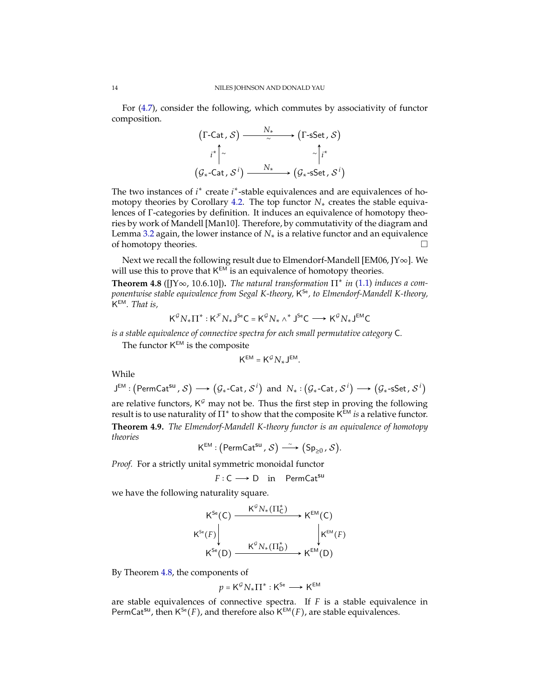For [\(4.7\)](#page-12-3), consider the following, which commutes by associativity of functor composition.

$$
(\Gamma\text{-Cat}, \mathcal{S}) \xrightarrow{\qquad N_*} (\Gamma\text{-SSet}, \mathcal{S})
$$
\n
$$
i^* \sim \sim \sim \sim \sim i^*
$$
\n
$$
(\mathcal{G}_* \text{-Cat}, \mathcal{S}^i) \xrightarrow{\qquad N_*} (\mathcal{G}_* \text{-SSet}, \mathcal{S}^i)
$$

The two instances of *i*<sup>\*</sup> create *i*<sup>\*</sup>-stable equivalences and are equivalences of homotopy theories by Corollary [4.2.](#page-12-0) The top functor *N*∗ creates the stable equivalences of Γ-categories by definition. It induces an equivalence of homotopy theories by work of Mandell [\[Man10\]](#page-16-4). Therefore, by commutativity of the diagram and Lemma [3.2](#page-6-1) again, the lower instance of *N*∗ is a relative functor and an equivalence of homotopy theories.

Next we recall the following result due to Elmendorf-Mandell [\[EM06,](#page-16-5) [JY](#page-16-7)∞]. We will use this to prove that  $K^{EM}$  is an equivalence of homotopy theories.

<span id="page-13-1"></span>**Theorem 4.8** ([\[JY](#page-16-7) $\infty$ , 10.6.10]). The natural transformation  $\Pi^*$  in [\(1.1\)](#page-1-0) induces a com*ponentwise stable equivalence from Segal K-theory,* K Se*, to Elmendorf-Mandell K-theory,* K EM*. That is,*

$$
\mathsf{K}^{\mathcal{G}}N_{\ast}\Pi^{\ast}:\mathsf{K}^{\mathcal{F}}N_{\ast}\mathsf{J}^{\mathsf{Se}}\mathsf{C}=\mathsf{K}^{\mathcal{G}}N_{\ast}\wedge^{\ast}\mathsf{J}^{\mathsf{Se}}\mathsf{C}\longrightarrow \mathsf{K}^{\mathcal{G}}N_{\ast}\mathsf{J}^{\mathsf{EM}}\mathsf{C}
$$

*is a stable equivalence of connective spectra for each small permutative category* C*.*

The functor  $K^{EM}$  is the composite

$$
\mathsf{K}^{\mathsf{EM}} = \mathsf{K}^{\mathcal{G}} N_* \mathsf{J}^{\mathsf{EM}}.
$$

While

$$
J^{EM} : (\text{PermCat}^{su}, \mathcal{S}) \longrightarrow (\mathcal{G}_{*} \text{-Cat}, \mathcal{S}^{i}) \text{ and } N_{*} : (\mathcal{G}_{*} \text{-Cat}, \mathcal{S}^{i}) \longrightarrow (\mathcal{G}_{*} \text{-SSet}, \mathcal{S}^{i})
$$

<span id="page-13-0"></span>are relative functors,  $K^{\mathcal{G}}$  may not be. Thus the first step in proving the following result is to use naturality of Π<sup>∗</sup> to show that the composite K EM *is* a relative functor. **Theorem 4.9.** *The Elmendorf-Mandell K-theory functor is an equivalence of homotopy theories*

$$
\mathsf{K}^{\mathsf{EM}} : \big(\mathsf{PermCat}^{\mathsf{su}}\,,\,\mathcal{S}\big)\stackrel{\sim}{\longrightarrow}\big(\mathsf{Sp}_{\geq 0}\,,\,\mathcal{S}\big).
$$

*Proof.* For a strictly unital symmetric monoidal functor

$$
F: C \longrightarrow D \quad \text{in} \quad \text{PermCat}^{\text{su}}
$$

we have the following naturality square.

$$
K^{Se}(C) \xrightarrow{K^{\mathcal{G}}N_{*}(\Pi_{C}^{*})} K^{EM}(C)
$$
  

$$
K^{Se}(F) \downarrow \qquad \qquad K^{\mathcal{G}}N_{*}(\Pi_{D}^{*}) \xrightarrow{K^{EM}(F)}
$$
  

$$
K^{Se}(D) \xrightarrow{K^{\mathcal{G}}N_{*}(\Pi_{D}^{*})} K^{EM}(D)
$$

By Theorem [4.8,](#page-13-1) the components of

$$
p = \mathsf{K}^{\mathcal{G}}N_*\Pi^*: \mathsf{K}^{\mathsf{Se}} \longrightarrow \mathsf{K}^{\mathsf{EM}}
$$

are stable equivalences of connective spectra. If *F* is a stable equivalence in PermCat<sup>su</sup>, then  $K^{Se}(F)$ , and therefore also  $K^{EM}(F)$ , are stable equivalences.

<span id="page-13-2"></span>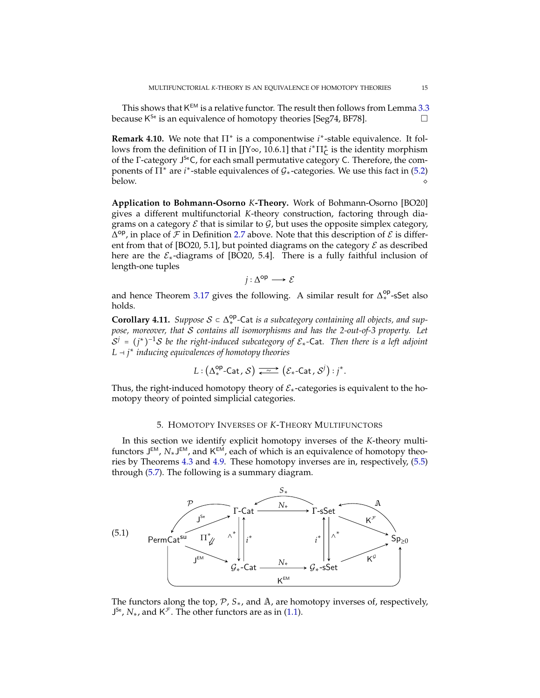<span id="page-14-4"></span>This shows that  $\mathsf{K}^{\mathsf{EM}}$  is a relative functor. The result then follows from Lemma [3.3](#page-7-1) because  $K^{S_e}$  is an equivalence of homotopy theories [\[Seg74,](#page-16-1) [BF78\]](#page-16-2).

<span id="page-14-2"></span>**Remark 4.10.** We note that Π<sup>\*</sup> is a componentwise *i*<sup>\*</sup>-stable equivalence. It follows from the definition of  $\Pi$  in [\[JY](#page-16-7)∞, 10.6.1] that  $i^*\Pi_{\mathsf{C}}^*$  is the identity morphism of the Γ-category J SeC, for each small permutative category C. Therefore, the components of  $\Pi^*$  are *i*<sup>\*</sup>-stable equivalences of  $\mathcal{G}_*$ -categories. We use this fact in [\(5.2\)](#page-15-2) below. ◇

**Application to Bohmann-Osorno** *K***-Theory.** Work of Bohmann-Osorno [\[BO20\]](#page-16-9) gives a different multifunctorial *K*-theory construction, factoring through diagrams on a category  $\mathcal E$  that is similar to  $\mathcal G$ , but uses the opposite simplex category,  $\Delta^{op}$ , in place of  $\mathcal F$  in Definition [2.7](#page-4-1) above. Note that this description of  $\mathcal E$  is differ-ent from that of [\[BO20,](#page-16-9) 5.1], but pointed diagrams on the category  $\mathcal E$  as described here are the  $\mathcal{E}_{*}$ -diagrams of [\[BO20,](#page-16-9) 5.4]. There is a fully faithful inclusion of length-one tuples

 $j: \Delta$ <sup>op</sup> → E

<span id="page-14-1"></span>and hence Theorem [3.17](#page-11-1) gives the following. A similar result for  $\Delta_*^{op}$ -sSet also holds.

**Corollary 4.11.** Suppose  $S \subset \Delta_*^{op}$ -Cat is a subcategory containing all objects, and sup*pose, moreover, that* S *contains all isomorphisms and has the 2-out-of-3 property. Let*  $S^j = (j^*)^{-1}S$  be the right-induced subcategory of  $\mathcal{E}_*$ -Cat. Then there is a left adjoint *L* ⊣ *j* ∗ *inducing equivalences of homotopy theories*

$$
L: (\Delta^{\mathsf{op}}_* \text{-}\mathsf{Cat}\, , \mathcal{S}) \xrightarrow{\sim} (\mathcal{E}_* \text{-}\mathsf{Cat}\, , \mathcal{S}^j) : j^*.
$$

Thus, the right-induced homotopy theory of  $\mathcal{E}_*$ -categories is equivalent to the homotopy theory of pointed simplicial categories.

### 5. HOMOTOPY INVERSES OF *K*-THEORY MULTIFUNCTORS

<span id="page-14-0"></span>In this section we identify explicit homotopy inverses of the *K*-theory multifunctors J<sup>EM</sup>, N<sub>\*</sub>J<sup>EM</sup>, and K<sup>EM</sup>, each of which is an equivalence of homotopy theories by Theorems [4.3](#page-12-1) and [4.9.](#page-13-0) These homotopy inverses are in, respectively, [\(5.5\)](#page-15-0) through [\(5.7\)](#page-16-10). The following is a summary diagram.

<span id="page-14-3"></span>

The functors along the top,  $\mathcal{P}$ ,  $S_{*}$ , and  $\mathbb{A}$ , are homotopy inverses of, respectively,  $J^{Se}$ ,  $N_*$ , and  $K^{\mathcal{F}}$ . The other functors are as in [\(1.1\)](#page-1-0).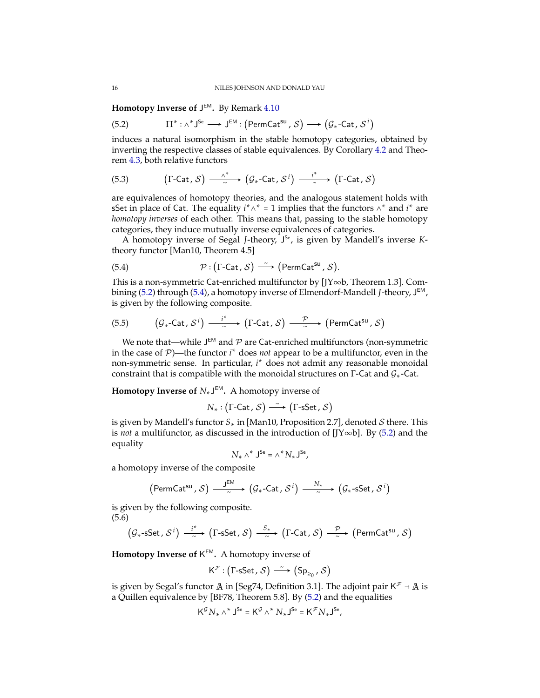<span id="page-15-4"></span>**Homotopy Inverse of** J EM**.** By Remark [4.10](#page-14-2)

<span id="page-15-2"></span> $(5.2)$  $\overline{\cdot} : \wedge^* \mathsf{J}^\mathsf{Se} \longrightarrow \mathsf{J}^\mathsf{EM} : \left(\mathsf{PermCat}^\mathsf{su} \, , \, \mathcal{S}\right) \longrightarrow \left(\mathcal{G}_* \text{-Cat} \, , \, \mathcal{S}^i \right)$ 

induces a natural isomorphism in the stable homotopy categories, obtained by inverting the respective classes of stable equivalences. By Corollary [4.2](#page-12-0) and Theorem [4.3,](#page-12-1) both relative functors

(5.3) 
$$
(\Gamma\text{-Cat}, \mathcal{S}) \xrightarrow{\wedge^*} (\mathcal{G}_* \text{-Cat}, \mathcal{S}^i) \xrightarrow{\qquad i^*} (\Gamma\text{-Cat}, \mathcal{S})
$$

are equivalences of homotopy theories, and the analogous statement holds with sSet in place of Cat. The equality  $i^* \wedge^* = 1$  implies that the functors  $\wedge^*$  and  $i^*$  are *homotopy inverses* of each other. This means that, passing to the stable homotopy categories, they induce mutually inverse equivalences of categories.

A homotopy inverse of Segal *J*-theory, J Se, is given by Mandell's inverse *K*theory functor [\[Man10,](#page-16-4) Theorem 4.5]

<span id="page-15-3"></span>(5.4) 
$$
\mathcal{P}: (\Gamma\text{-Cat}, \mathcal{S}) \longrightarrow (\text{PermCat}^{\text{su}}, \mathcal{S}).
$$

This is a non-symmetric Cat-enriched multifunctor by [\[JY](#page-16-18)∞b, Theorem 1.3]. Combining [\(5.2\)](#page-15-2) through [\(5.4\)](#page-15-3), a homotopy inverse of Elmendorf-Mandell *J*-theory, J EM, is given by the following composite.

<span id="page-15-0"></span>(5.5) 
$$
(\mathcal{G}_{*}\text{-Cat}, \mathcal{S}^i) \xrightarrow{\quad i^* \quad} (\Gamma\text{-Cat}, \mathcal{S}) \xrightarrow{\quad \mathcal{P} \quad} (\text{PermCat}^{\text{su}}, \mathcal{S})
$$

We note that—while J $^{\text{\tiny{EM}}}$  and  ${\mathcal{P}}$  are Cat-enriched multifunctors (non-symmetric in the case of P)—the functor *i* <sup>∗</sup> does *not* appear to be a multifunctor, even in the non-symmetric sense. In particular, *i* <sup>∗</sup> does not admit any reasonable monoidal constraint that is compatible with the monoidal structures on  $\Gamma$ -Cat and  $\mathcal{G}_*$ -Cat.

**Homotopy Inverse of** *N*∗J EM**.** A homotopy inverse of

$$
N_* : (\Gamma\text{-Cat}\, , \mathcal{S}) \xrightarrow{\;\sim\;} (\Gamma\text{-sSet}\, , \mathcal{S})
$$

is given by Mandell's functor *S*∗ in [\[Man10,](#page-16-4) Proposition 2.7], denoted S there. This is *not* a multifunctor, as discussed in the introduction of [\[JY](#page-16-18)∞b]. By [\(5.2\)](#page-15-2) and the equality

$$
N_* \wedge^* \mathsf{J}^{\mathsf{Se}} = \wedge^* N_* \mathsf{J}^{\mathsf{Se}},
$$

a homotopy inverse of the composite

$$
(\text{PermCat}^{\text{su}}, \mathcal{S}) \xrightarrow{\mathsf{J}^{\text{EM}}} (\mathcal{G}_{*}\text{-Cat}, \mathcal{S}^{i}) \xrightarrow{\mathbb{N}_{*}} (\mathcal{G}_{*}\text{-sSet}, \mathcal{S}^{i})
$$

is given by the following composite. (5.6)

<span id="page-15-1"></span>
$$
\left(\mathcal{G}_* \text{-sSet}, \mathcal{S}^i\right) \xrightarrow{\phantom{a} i^*} \left(\Gamma\text{-sSet}, \mathcal{S}\right) \xrightarrow{\phantom{a} S_*} \left(\Gamma\text{-Cat}, \mathcal{S}\right) \xrightarrow{\phantom{a} \mathcal{P}} \left(\text{PermCat}^{\text{su}}, \mathcal{S}\right)
$$

**Homotopy Inverse of** K EM**.** A homotopy inverse of

$$
K^{\mathcal{F}}:\left(\Gamma\text{-sSet}\,,\,\mathcal{S}\right)\stackrel{\sim}{\longrightarrow}\left(\text{Sp}_{\geq_0}\,,\,\mathcal{S}\right)
$$

is given by Segal's functor A in [\[Seg74,](#page-16-1) Definition 3.1]. The adjoint pair K $^{\mathcal{F}}$  - A is a Quillen equivalence by [\[BF78,](#page-16-2) Theorem 5.8]. By [\(5.2\)](#page-15-2) and the equalities

$$
\mathsf{K}^{\mathcal{G}}N_{\star}\wedge^{\star}\mathsf{J}^{\mathsf{Se}}=\mathsf{K}^{\mathcal{G}}\wedge^{\star}N_{\star}\mathsf{J}^{\mathsf{Se}}=\mathsf{K}^{\mathcal{F}}N_{\star}\mathsf{J}^{\mathsf{Se}},
$$